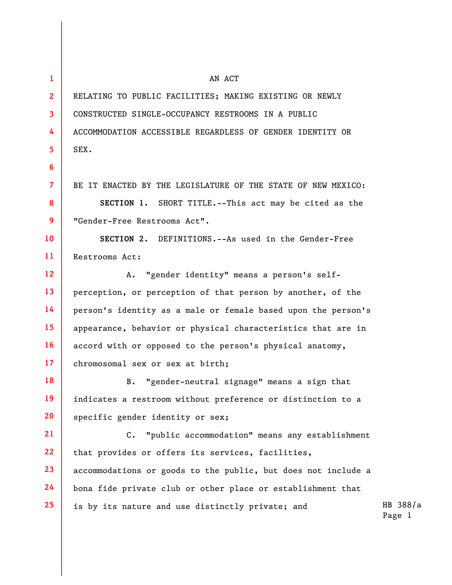| 1              | AN ACT                                                        |                    |
|----------------|---------------------------------------------------------------|--------------------|
| $\mathbf{2}$   | RELATING TO PUBLIC FACILITIES; MAKING EXISTING OR NEWLY       |                    |
| 3              | CONSTRUCTED SINGLE-OCCUPANCY RESTROOMS IN A PUBLIC            |                    |
| 4              | ACCOMMODATION ACCESSIBLE REGARDLESS OF GENDER IDENTITY OR     |                    |
| $\overline{5}$ | SEX.                                                          |                    |
| 6              |                                                               |                    |
| $\overline{7}$ | BE IT ENACTED BY THE LEGISLATURE OF THE STATE OF NEW MEXICO:  |                    |
| 8              | SECTION 1. SHORT TITLE.--This act may be cited as the         |                    |
| 9              | "Gender-Free Restrooms Act".                                  |                    |
| 10             | SECTION 2. DEFINITIONS.--As used in the Gender-Free           |                    |
| 11             | Restrooms Act:                                                |                    |
| 12             | A. "gender identity" means a person's self-                   |                    |
| 13             | perception, or perception of that person by another, of the   |                    |
| 14             | person's identity as a male or female based upon the person's |                    |
| 15             | appearance, behavior or physical characteristics that are in  |                    |
| <b>16</b>      | accord with or opposed to the person's physical anatomy,      |                    |
| 17             | chromosomal sex or sex at birth;                              |                    |
| 18             | "gender-neutral signage" means a sign that<br>B.              |                    |
| 19             | indicates a restroom without preference or distinction to a   |                    |
| 20             | specific gender identity or sex;                              |                    |
| 21             | C. "public accommodation" means any establishment             |                    |
| 22             | that provides or offers its services, facilities,             |                    |
| 23             | accommodations or goods to the public, but does not include a |                    |
| 24             | bona fide private club or other place or establishment that   |                    |
| 25             | is by its nature and use distinctly private; and              | HB 388/a<br>Page 1 |